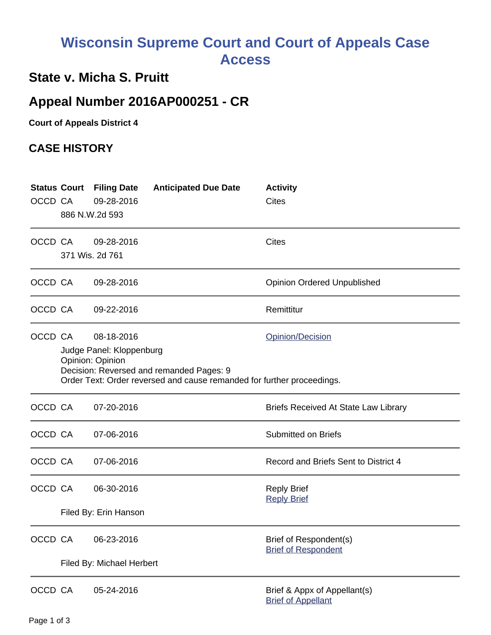# **Wisconsin Supreme Court and Court of Appeals Case Access**

### **State v. Micha S. Pruitt**

## **Appeal Number 2016AP000251 - CR**

**Court of Appeals District 4**

#### **CASE HISTORY**

| OCCD CA |                                                                                                                                                                                                      | <b>Status Court Filing Date</b><br>09-28-2016<br>886 N.W.2d 593 | <b>Anticipated Due Date</b> | <b>Activity</b><br><b>Cites</b>                           |  |
|---------|------------------------------------------------------------------------------------------------------------------------------------------------------------------------------------------------------|-----------------------------------------------------------------|-----------------------------|-----------------------------------------------------------|--|
| OCCD CA |                                                                                                                                                                                                      | 09-28-2016<br>371 Wis. 2d 761                                   |                             | <b>Cites</b>                                              |  |
| OCCD CA |                                                                                                                                                                                                      | 09-28-2016                                                      |                             | <b>Opinion Ordered Unpublished</b>                        |  |
| OCCD CA |                                                                                                                                                                                                      | 09-22-2016                                                      |                             | Remittitur                                                |  |
| OCCD CA | 08-18-2016<br>Opinion/Decision<br>Judge Panel: Kloppenburg<br>Opinion: Opinion<br>Decision: Reversed and remanded Pages: 9<br>Order Text: Order reversed and cause remanded for further proceedings. |                                                                 |                             |                                                           |  |
| OCCD CA |                                                                                                                                                                                                      | 07-20-2016                                                      |                             | Briefs Received At State Law Library                      |  |
| OCCD CA |                                                                                                                                                                                                      | 07-06-2016                                                      |                             | <b>Submitted on Briefs</b>                                |  |
| OCCD CA |                                                                                                                                                                                                      | 07-06-2016                                                      |                             | Record and Briefs Sent to District 4                      |  |
| OCCD CA |                                                                                                                                                                                                      | 06-30-2016<br>Filed By: Erin Hanson                             |                             | <b>Reply Brief</b><br><b>Reply Brief</b>                  |  |
| OCCD CA |                                                                                                                                                                                                      | 06-23-2016<br>Filed By: Michael Herbert                         |                             | Brief of Respondent(s)<br><b>Brief of Respondent</b>      |  |
| OCCD CA |                                                                                                                                                                                                      | 05-24-2016                                                      |                             | Brief & Appx of Appellant(s)<br><b>Brief of Appellant</b> |  |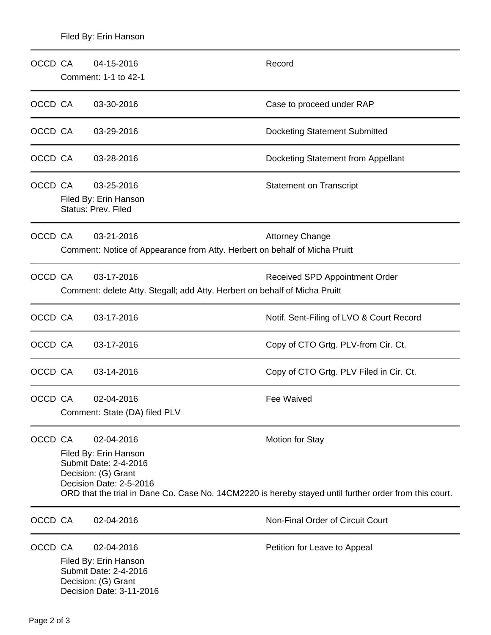| OCCD CA | 04-15-2016<br>Comment: 1-1 to 42-1                                                                                         | Record                                                                                                                           |  |  |  |
|---------|----------------------------------------------------------------------------------------------------------------------------|----------------------------------------------------------------------------------------------------------------------------------|--|--|--|
| OCCD CA | 03-30-2016                                                                                                                 | Case to proceed under RAP                                                                                                        |  |  |  |
| OCCD CA | 03-29-2016                                                                                                                 | <b>Docketing Statement Submitted</b>                                                                                             |  |  |  |
| OCCD CA | 03-28-2016                                                                                                                 | Docketing Statement from Appellant                                                                                               |  |  |  |
| OCCD CA | 03-25-2016<br>Filed By: Erin Hanson<br><b>Status: Prev. Filed</b>                                                          | <b>Statement on Transcript</b>                                                                                                   |  |  |  |
| OCCD CA | 03-21-2016<br>Comment: Notice of Appearance from Atty. Herbert on behalf of Micha Pruitt                                   | <b>Attorney Change</b>                                                                                                           |  |  |  |
| OCCD CA | 03-17-2016<br>Received SPD Appointment Order<br>Comment: delete Atty. Stegall; add Atty. Herbert on behalf of Micha Pruitt |                                                                                                                                  |  |  |  |
| OCCD CA | 03-17-2016                                                                                                                 | Notif. Sent-Filing of LVO & Court Record                                                                                         |  |  |  |
| OCCD CA | 03-17-2016                                                                                                                 | Copy of CTO Grtg. PLV-from Cir. Ct.                                                                                              |  |  |  |
| OCCD CA | 03-14-2016                                                                                                                 | Copy of CTO Grtg. PLV Filed in Cir. Ct.                                                                                          |  |  |  |
| OCCD CA | 02-04-2016<br>Comment: State (DA) filed PLV                                                                                | <b>Fee Waived</b>                                                                                                                |  |  |  |
| OCCD CA | 02-04-2016<br>Filed By: Erin Hanson<br>Submit Date: 2-4-2016<br>Decision: (G) Grant<br>Decision Date: 2-5-2016             | <b>Motion for Stay</b><br>ORD that the trial in Dane Co. Case No. 14CM2220 is hereby stayed until further order from this court. |  |  |  |
| OCCD CA | 02-04-2016                                                                                                                 | Non-Final Order of Circuit Court                                                                                                 |  |  |  |
| OCCD CA | 02-04-2016<br>Filed By: Erin Hanson<br>Submit Date: 2-4-2016<br>Decision: (G) Grant<br>Decision Date: 3-11-2016            | Petition for Leave to Appeal                                                                                                     |  |  |  |